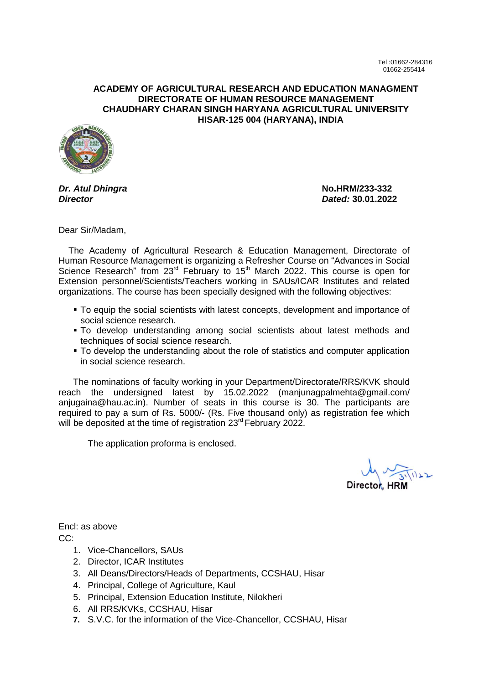## **ACADEMY OF AGRICULTURAL RESEARCH AND EDUCATION MANAGMENT DIRECTORATE OF HUMAN RESOURCE MANAGEMENT CHAUDHARY CHARAN SINGH HARYANA AGRICULTURAL UNIVERSITY HISAR-125 004 (HARYANA), INDIA**



*Dr. Atul Dhingra* **No.HRM/233-332** *Director Dated:* **30.01.2022**

Dear Sir/Madam,

 The Academy of Agricultural Research & Education Management, Directorate of Human Resource Management is organizing a Refresher Course on "Advances in Social Science Research" from 23<sup>rd</sup> February to 15<sup>th</sup> March 2022. This course is open for Extension personnel/Scientists/Teachers working in SAUs/ICAR Institutes and related organizations. The course has been specially designed with the following objectives:

- To equip the social scientists with latest concepts, development and importance of social science research.
- To develop understanding among social scientists about latest methods and techniques of social science research.
- To develop the understanding about the role of statistics and computer application in social science research.

The nominations of faculty working in your Department/Directorate/RRS/KVK should reach the undersigned latest by 15.02.2022 (manjunagpalmehta@gmail.com/ anjugaina@hau.ac.in). Number of seats in this course is 30. The participants are required to pay a sum of Rs. 5000/- (Rs. Five thousand only) as registration fee which will be deposited at the time of registration 23<sup>rd</sup> February 2022.

The application proforma is enclosed.

Encl: as above

CC:

- 1. Vice-Chancellors, SAUs
- 2. Director, ICAR Institutes
- 3. All Deans/Directors/Heads of Departments, CCSHAU, Hisar
- 4. Principal, College of Agriculture, Kaul
- 5. Principal, Extension Education Institute, Nilokheri
- 6. All RRS/KVKs, CCSHAU, Hisar
- **7.** S.V.C. for the information of the Vice-Chancellor, CCSHAU, Hisar